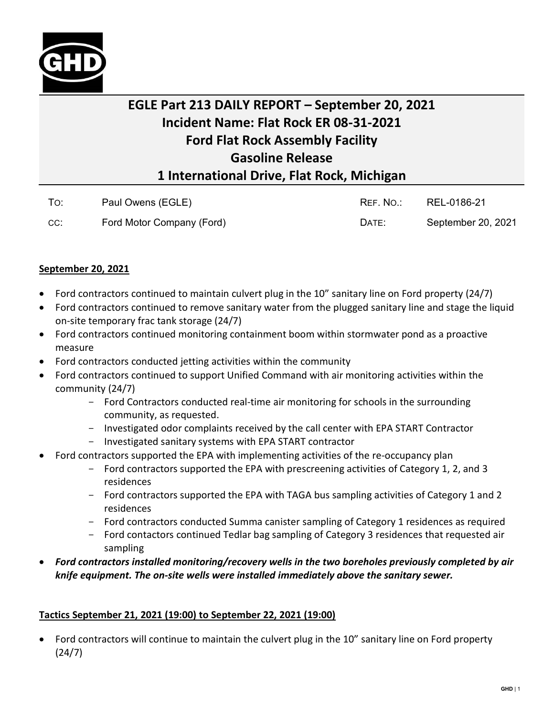

## **EGLE Part 213 DAILY REPORT – September 20, 2021 Incident Name: Flat Rock ER 08-31-2021 Ford Flat Rock Assembly Facility Gasoline Release 1 International Drive, Flat Rock, Michigan**

| To: | Paul Owens (EGLE)         | REF. NO.: | REL-0186-21        |
|-----|---------------------------|-----------|--------------------|
| CC: | Ford Motor Company (Ford) | DATE:     | September 20, 2021 |

## **September 20, 2021**

- Ford contractors continued to maintain culvert plug in the 10" sanitary line on Ford property (24/7)
- Ford contractors continued to remove sanitary water from the plugged sanitary line and stage the liquid on-site temporary frac tank storage (24/7)
- Ford contractors continued monitoring containment boom within stormwater pond as a proactive measure
- Ford contractors conducted jetting activities within the community
- Ford contractors continued to support Unified Command with air monitoring activities within the community (24/7)
	- Ford Contractors conducted real-time air monitoring for schools in the surrounding community, as requested.
	- Investigated odor complaints received by the call center with EPA START Contractor
	- Investigated sanitary systems with EPA START contractor
- Ford contractors supported the EPA with implementing activities of the re-occupancy plan
	- Ford contractors supported the EPA with prescreening activities of Category 1, 2, and 3 residences
	- Ford contractors supported the EPA with TAGA bus sampling activities of Category 1 and 2 residences
	- Ford contractors conducted Summa canister sampling of Category 1 residences as required
	- Ford contactors continued Tedlar bag sampling of Category 3 residences that requested air sampling
- *Ford contractors installed monitoring/recovery wells in the two boreholes previously completed by air knife equipment. The on-site wells were installed immediately above the sanitary sewer.*

## **Tactics September 21, 2021 (19:00) to September 22, 2021 (19:00)**

• Ford contractors will continue to maintain the culvert plug in the 10" sanitary line on Ford property (24/7)